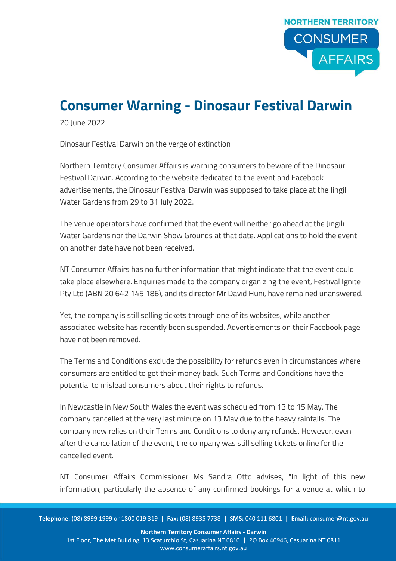

## **Consumer Warning - Dinosaur Festival Darwin**

20 June 2022

Dinosaur Festival Darwin on the verge of extinction

Northern Territory Consumer Affairs is warning consumers to beware of the Dinosaur Festival Darwin. According to the website dedicated to the event and Facebook advertisements, the Dinosaur Festival Darwin was supposed to take place at the Jingili Water Gardens from 29 to 31 July 2022.

The venue operators have confirmed that the event will neither go ahead at the Jingili Water Gardens nor the Darwin Show Grounds at that date. Applications to hold the event on another date have not been received.

NT Consumer Affairs has no further information that might indicate that the event could take place elsewhere. Enquiries made to the company organizing the event, Festival Ignite Pty Ltd (ABN 20 642 145 186), and its director Mr David Huni, have remained unanswered.

Yet, the company is still selling tickets through one of its websites, while another associated website has recently been suspended. Advertisements on their Facebook page have not been removed.

The Terms and Conditions exclude the possibility for refunds even in circumstances where consumers are entitled to get their money back. Such Terms and Conditions have the potential to mislead consumers about their rights to refunds.

In Newcastle in New South Wales the event was scheduled from 13 to 15 May. The company cancelled at the very last minute on 13 May due to the heavy rainfalls. The company now relies on their Terms and Conditions to deny any refunds. However, even after the cancellation of the event, the company was still selling tickets online for the cancelled event.

NT Consumer Affairs Commissioner Ms Sandra Otto advises, "In light of this new information, particularly the absence of any confirmed bookings for a venue at which to

**Telephone:** (08) 8999 1999 or 1800 019 319 **| Fax:** (08) 8935 7738 **| SMS:** 040 111 6801 **| Email:** consumer@nt.gov.au

**Northern Territory Consumer Affairs - Darwin**  1st Floor, The Met Building, 13 Scaturchio St, Casuarina NT 0810 **|** PO Box 40946, Casuarina NT 0811 www.consumeraffairs.nt.gov.au